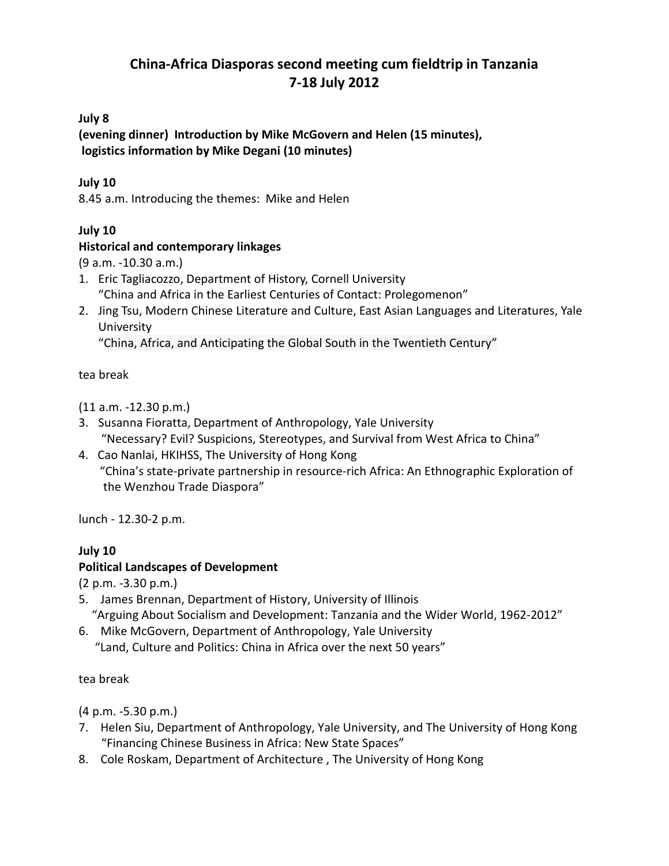# **China-Africa Diasporas second meeting cum fieldtrip in Tanzania 7-18 July 2012**

## **July 8**

**(evening dinner) Introduction by Mike McGovern and Helen (15 minutes), logistics information by Mike Degani (10 minutes)**

## **July 10**

8.45 a.m. Introducing the themes: Mike and Helen

## **July 10**

## **Historical and contemporary linkages**

(9 a.m. -10.30 a.m.)

- 1. Eric Tagliacozzo, Department of History, Cornell University "China and Africa in the Earliest Centuries of Contact: Prolegomenon"
- 2. Jing Tsu, Modern Chinese Literature and Culture, East Asian Languages and Literatures, Yale **University**

"China, Africa, and Anticipating the Global South in the Twentieth Century"

### tea break

(11 a.m. -12.30 p.m.)

- 3. Susanna Fioratta, Department of Anthropology, Yale University "Necessary? Evil? Suspicions, Stereotypes, and Survival from West Africa to China"
- 4. Cao Nanlai, HKIHSS, The University of Hong Kong "China's state-private partnership in resource-rich Africa: An Ethnographic Exploration of the Wenzhou Trade Diaspora"

lunch - 12.30-2 p.m.

## **July 10**

## **Political Landscapes of Development**

(2 p.m. -3.30 p.m.)

- 5. James Brennan, Department of History, University of Illinois "Arguing About Socialism and Development: Tanzania and the Wider World, 1962-2012"
- 6. Mike McGovern, Department of Anthropology, Yale University "Land, Culture and Politics: China in Africa over the next 50 years"

#### tea break

(4 p.m. -5.30 p.m.)

- 7. Helen Siu, Department of Anthropology, Yale University, and The University of Hong Kong "Financing Chinese Business in Africa: New State Spaces"
- 8. Cole Roskam, Department of Architecture , The University of Hong Kong